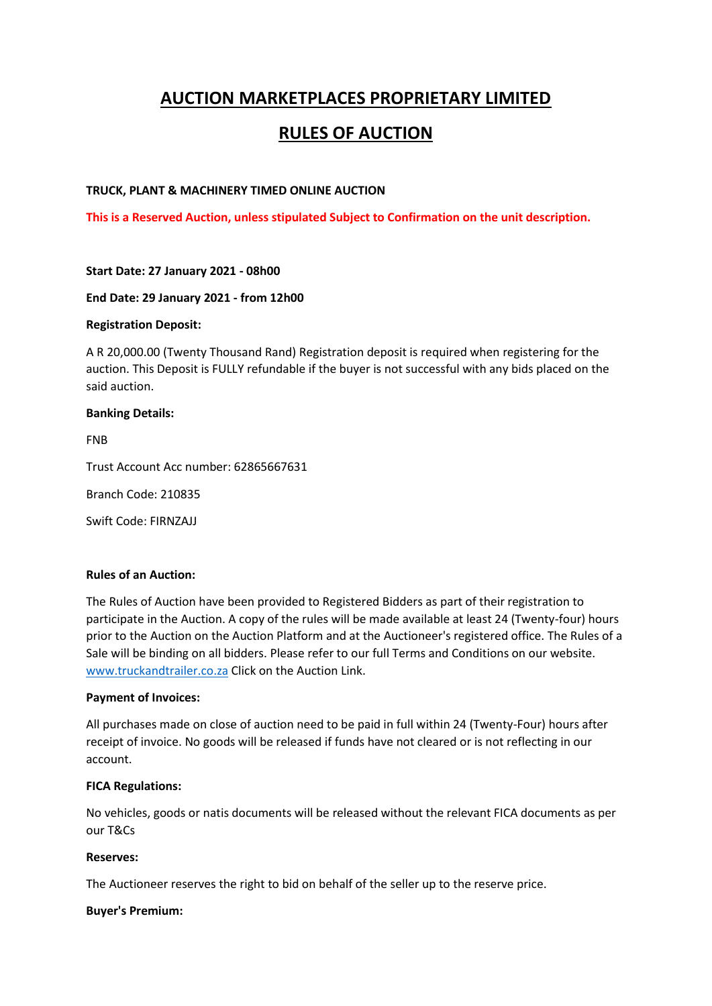# **AUCTION MARKETPLACES PROPRIETARY LIMITED**

# **RULES OF AUCTION**

### **TRUCK, PLANT & MACHINERY TIMED ONLINE AUCTION**

**This is a Reserved Auction, unless stipulated Subject to Confirmation on the unit description.**

#### **Start Date: 27 January 2021 - 08h00**

#### **End Date: 29 January 2021 - from 12h00**

## **Registration Deposit:**

A R 20,000.00 (Twenty Thousand Rand) Registration deposit is required when registering for the auction. This Deposit is FULLY refundable if the buyer is not successful with any bids placed on the said auction.

#### **Banking Details:**

FNB

Trust Account Acc number: 62865667631

Branch Code: 210835

Swift Code: FIRNZAJJ

### **Rules of an Auction:**

The Rules of Auction have been provided to Registered Bidders as part of their registration to participate in the Auction. A copy of the rules will be made available at least 24 (Twenty-four) hours prior to the Auction on the Auction Platform and at the Auctioneer's registered office. The Rules of a Sale will be binding on all bidders. Please refer to our full Terms and Conditions on our website. [www.truckandtrailer.co.za](http://www.truckandtrailer.co.za/) Click on the Auction Link.

#### **Payment of Invoices:**

All purchases made on close of auction need to be paid in full within 24 (Twenty-Four) hours after receipt of invoice. No goods will be released if funds have not cleared or is not reflecting in our account.

#### **FICA Regulations:**

No vehicles, goods or natis documents will be released without the relevant FICA documents as per our T&Cs

#### **Reserves:**

The Auctioneer reserves the right to bid on behalf of the seller up to the reserve price.

#### **Buyer's Premium:**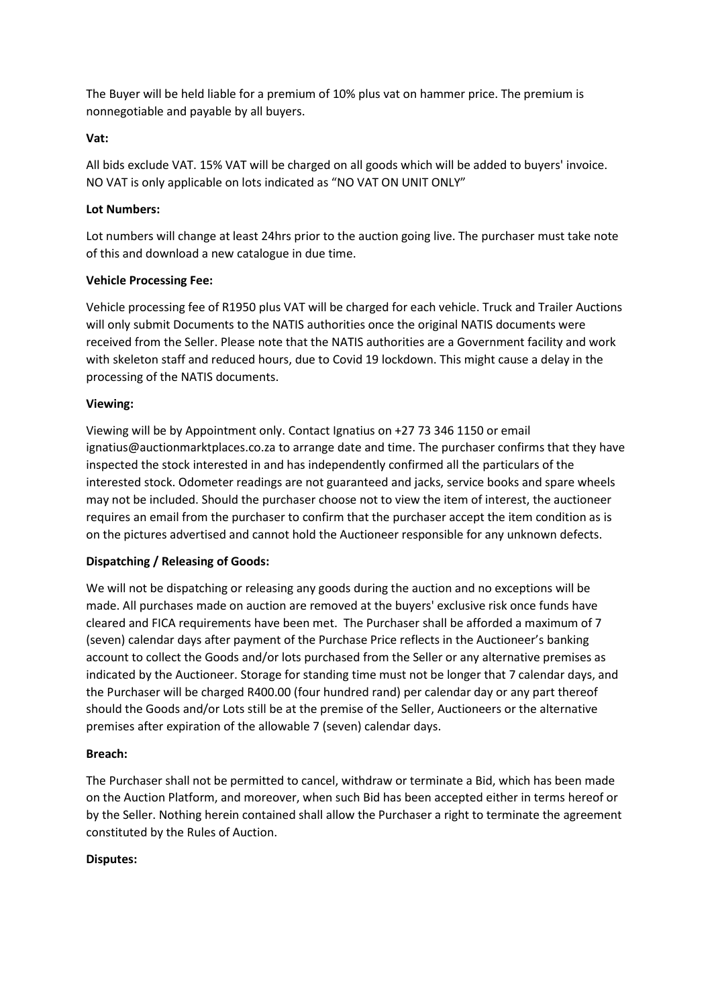The Buyer will be held liable for a premium of 10% plus vat on hammer price. The premium is nonnegotiable and payable by all buyers.

### **Vat:**

All bids exclude VAT. 15% VAT will be charged on all goods which will be added to buyers' invoice. NO VAT is only applicable on lots indicated as "NO VAT ON UNIT ONLY"

## **Lot Numbers:**

Lot numbers will change at least 24hrs prior to the auction going live. The purchaser must take note of this and download a new catalogue in due time.

## **Vehicle Processing Fee:**

Vehicle processing fee of R1950 plus VAT will be charged for each vehicle. Truck and Trailer Auctions will only submit Documents to the NATIS authorities once the original NATIS documents were received from the Seller. Please note that the NATIS authorities are a Government facility and work with skeleton staff and reduced hours, due to Covid 19 lockdown. This might cause a delay in the processing of the NATIS documents.

## **Viewing:**

Viewing will be by Appointment only. Contact Ignatius on +27 73 346 1150 or email ignatius@auctionmarktplaces.co.za to arrange date and time. The purchaser confirms that they have inspected the stock interested in and has independently confirmed all the particulars of the interested stock. Odometer readings are not guaranteed and jacks, service books and spare wheels may not be included. Should the purchaser choose not to view the item of interest, the auctioneer requires an email from the purchaser to confirm that the purchaser accept the item condition as is on the pictures advertised and cannot hold the Auctioneer responsible for any unknown defects.

# **Dispatching / Releasing of Goods:**

We will not be dispatching or releasing any goods during the auction and no exceptions will be made. All purchases made on auction are removed at the buyers' exclusive risk once funds have cleared and FICA requirements have been met. The Purchaser shall be afforded a maximum of 7 (seven) calendar days after payment of the Purchase Price reflects in the Auctioneer's banking account to collect the Goods and/or lots purchased from the Seller or any alternative premises as indicated by the Auctioneer. Storage for standing time must not be longer that 7 calendar days, and the Purchaser will be charged R400.00 (four hundred rand) per calendar day or any part thereof should the Goods and/or Lots still be at the premise of the Seller, Auctioneers or the alternative premises after expiration of the allowable 7 (seven) calendar days.

# **Breach:**

The Purchaser shall not be permitted to cancel, withdraw or terminate a Bid, which has been made on the Auction Platform, and moreover, when such Bid has been accepted either in terms hereof or by the Seller. Nothing herein contained shall allow the Purchaser a right to terminate the agreement constituted by the Rules of Auction.

# **Disputes:**